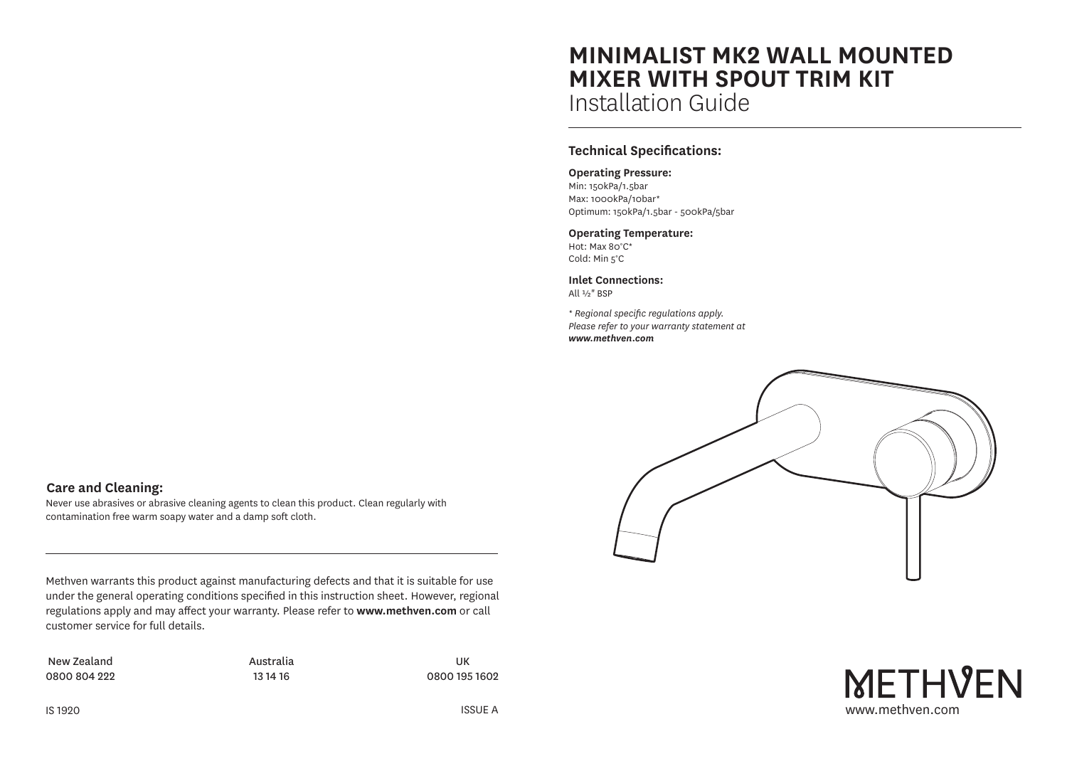# **MINIMALIST MK2 WALL MOUNTED MIXER WITH SPOUT TRIM KIT** Installation Guide

# **Technical Specifications:**

#### **Operating Pressure:**

Min: 150kPa/1.5bar Max: 1000kPa/10bar\* Optimum: 150kPa/1.5bar - 500kPa/5bar

### **Operating Temperature:**

Hot: Max 80°C\* Cold: Min 5°C

**Inlet Connections:** All ½" BSP

*\* Regional specific regulations apply. Please refer to your warranty statement at www.methven.com*



www.methven.com

**METHVEN** 

# **Care and Cleaning:**

Never use abrasives or abrasive cleaning agents to clean this product. Clean regularly with contamination free warm soapy water and a damp soft cloth.

Methven warrants this product against manufacturing defects and that it is suitable for use under the general operating conditions specified in this instruction sheet. However, regional regulations apply and may affect your warranty. Please refer to **www.methven.com** or call customer service for full details.

New Zealand 0800 804 222 Australia 13 14 16

UK 0800 195 1602